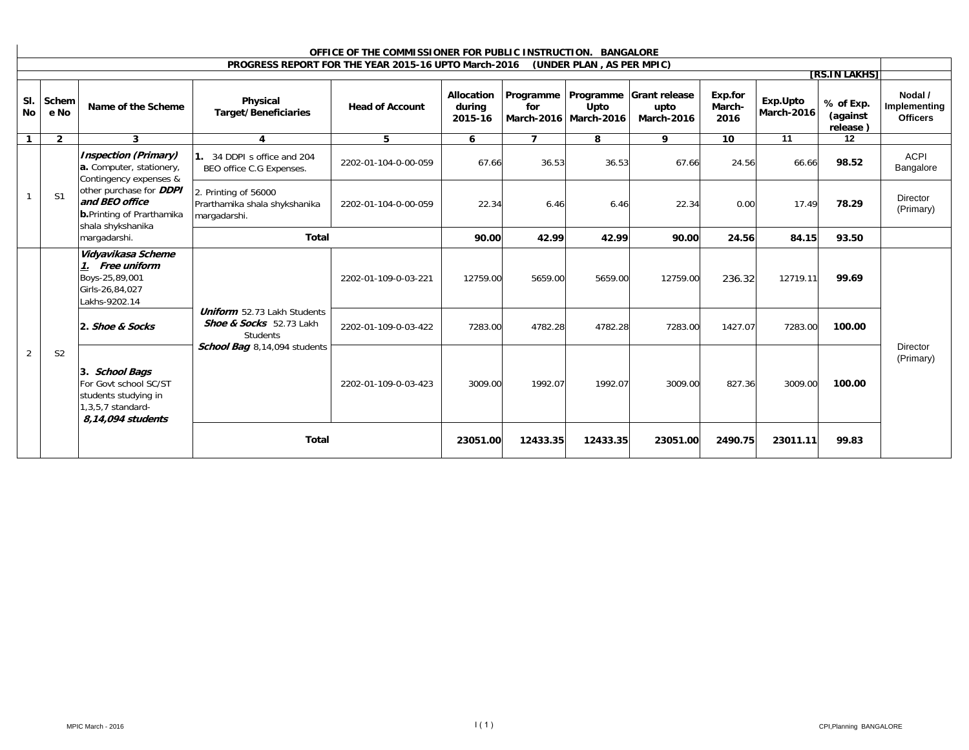| OFFICE OF THE COMMISSIONER FOR PUBLIC INSTRUCTION. BANGALORE |                |                                                                                                                                                                                          |                                                                                                           |                                                      |                                 |                    |                                            |                                                   |                           |                        |                                   |                                            |
|--------------------------------------------------------------|----------------|------------------------------------------------------------------------------------------------------------------------------------------------------------------------------------------|-----------------------------------------------------------------------------------------------------------|------------------------------------------------------|---------------------------------|--------------------|--------------------------------------------|---------------------------------------------------|---------------------------|------------------------|-----------------------------------|--------------------------------------------|
|                                                              |                |                                                                                                                                                                                          |                                                                                                           | PROGRESS REPORT FOR THE YEAR 2015-16 UPTO March-2016 |                                 |                    | (UNDER PLAN, AS PER MPIC)                  |                                                   |                           |                        |                                   |                                            |
|                                                              |                |                                                                                                                                                                                          |                                                                                                           |                                                      |                                 |                    |                                            |                                                   |                           |                        | <b>TRS.IN LAKHST</b>              |                                            |
| SI.<br>No                                                    | Schem<br>e No  | Name of the Scheme                                                                                                                                                                       | Physical<br><b>Target/Beneficiaries</b>                                                                   | <b>Head of Account</b>                               | Allocation<br>during<br>2015-16 | Programme  <br>for | Programme<br>Upto<br>March-2016 March-2016 | <b>Grant release</b><br>upto<br><b>March-2016</b> | Exp.for<br>March-<br>2016 | Exp.Upto<br>March-2016 | % of Exp.<br>(against<br>release) | Nodal /<br>Implementing<br><b>Officers</b> |
| 1                                                            | $\overline{2}$ | $\mathbf{3}$                                                                                                                                                                             | 4                                                                                                         | 5                                                    | 6                               | $\overline{7}$     | 8                                          | 9                                                 | 10                        | 11                     | 12                                |                                            |
|                                                              |                | <b>Inspection (Primary)</b><br>a. Computer, stationery,<br>Contingency expenses &<br>other purchase for DDPI<br>and BEO office<br><b>b.</b> Printing of Prarthamika<br>shala shykshanika | 1. 34 DDPI s office and 204<br>BEO office C.G Expenses.                                                   | 2202-01-104-0-00-059                                 | 67.66                           | 36.53              | 36.53                                      | 67.66                                             | 24.56                     | 66.66                  | 98.52                             | <b>ACPI</b><br>Bangalore                   |
|                                                              | S <sub>1</sub> |                                                                                                                                                                                          | 2. Printing of 56000<br>Prarthamika shala shykshanika<br>margadarshi.                                     | 2202-01-104-0-00-059                                 | 22.34                           | 6.46               | 6.46                                       | 22.34                                             | 0.00                      | 17.49                  | 78.29                             | <b>Director</b><br>(Primary)               |
|                                                              |                | margadarshi.                                                                                                                                                                             | <b>Total</b>                                                                                              |                                                      | 90.00                           | 42.99              | 42.99                                      | 90.00                                             | 24.56                     | 84.15                  | 93.50                             |                                            |
|                                                              |                | Vidyavikasa Scheme<br>Free uniform<br>1.<br>Boys-25,89,001<br>Girls-26,84,027<br>Lakhs-9202.14                                                                                           | <b>Uniform</b> 52.73 Lakh Students<br>Shoe & Socks 52.73 Lakh<br>Students<br>School Bag 8,14,094 students | 2202-01-109-0-03-221                                 | 12759.00                        | 5659.00            | 5659.00                                    | 12759.00                                          | 236.32                    | 12719.11               | 99.69                             |                                            |
|                                                              |                | 2. Shoe & Socks                                                                                                                                                                          |                                                                                                           | 2202-01-109-0-03-422                                 | 7283.00                         | 4782.28            | 4782.28                                    | 7283.00                                           | 1427.07                   | 7283.00                | 100.00                            |                                            |
| $\overline{2}$                                               | S <sub>2</sub> | 3. School Bags<br>For Govt school SC/ST<br>students studying in<br>1,3,5,7 standard-                                                                                                     |                                                                                                           | 2202-01-109-0-03-423                                 | 3009.00                         | 1992.07            | 1992.07                                    | 3009.00                                           | 827.36                    | 3009.00                | 100.00                            | <b>Director</b><br>(Primary)               |
|                                                              |                | 8,14,094 students                                                                                                                                                                        | <b>Total</b>                                                                                              |                                                      | 23051.00                        | 12433.35           | 12433.35                                   | 23051.00                                          | 2490.75                   | 23011.11               | 99.83                             |                                            |

## **OFFICE OF THE COMMISSIONER FOR PUBLIC INSTRUCTION. BANGALORE**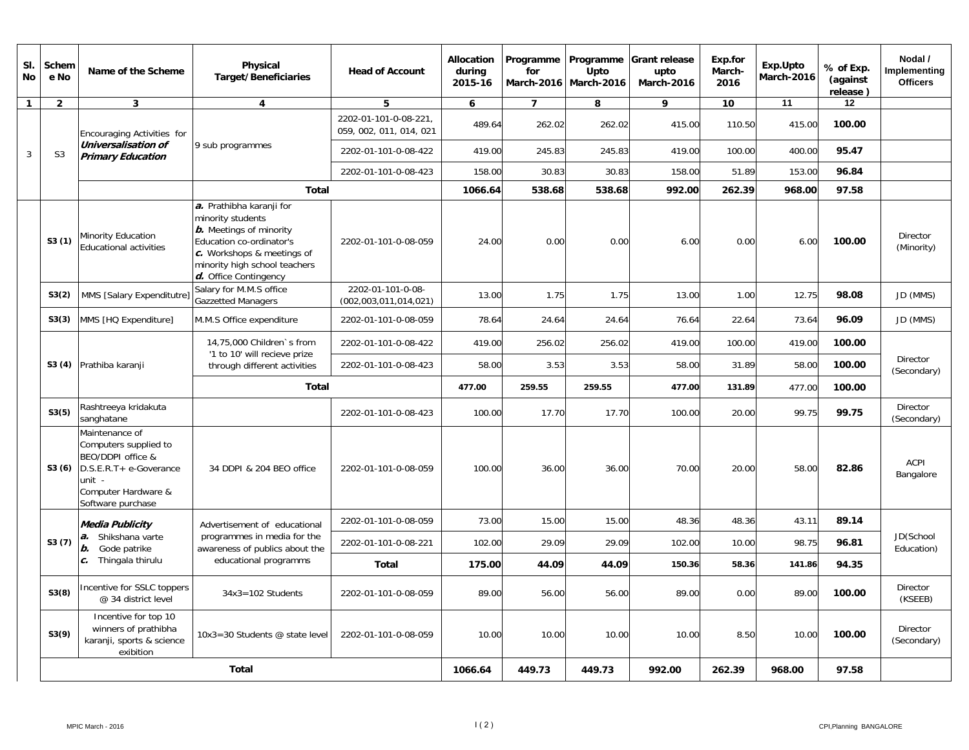| SI.<br>No    | Schem<br>e No  | Name of the Scheme                                                                                                                           | Physical<br><b>Target/Beneficiaries</b>                                                                                                                                                                | <b>Head of Account</b>                          | <b>Allocation</b><br>during<br>2015-16 | Programme<br>for | Upto<br>March-2016   March-2016 | Programme Grant release<br>upto<br>March-2016 | Exp.for<br>March-<br>2016 | Exp.Upto<br>March-2016 | % of Exp.<br>(against<br>release) | Nodal /<br>Implementing<br><b>Officers</b> |
|--------------|----------------|----------------------------------------------------------------------------------------------------------------------------------------------|--------------------------------------------------------------------------------------------------------------------------------------------------------------------------------------------------------|-------------------------------------------------|----------------------------------------|------------------|---------------------------------|-----------------------------------------------|---------------------------|------------------------|-----------------------------------|--------------------------------------------|
| $\mathbf{1}$ | $\overline{2}$ | $\mathbf{3}$                                                                                                                                 | 4                                                                                                                                                                                                      | 5                                               | 6                                      | $\overline{7}$   | 8                               | 9                                             | 10                        | 11                     | $12 \,$                           |                                            |
|              |                | Encouraging Activities for                                                                                                                   |                                                                                                                                                                                                        | 2202-01-101-0-08-221<br>059, 002, 011, 014, 021 | 489.64                                 | 262.02           | 262.02                          | 415.00                                        | 110.50                    | 415.00                 | 100.00                            |                                            |
| 3            | S <sub>3</sub> | Universalisation of<br><b>Primary Education</b>                                                                                              | 9 sub programmes                                                                                                                                                                                       | 2202-01-101-0-08-422                            | 419.00                                 | 245.83           | 245.83                          | 419.00                                        | 100.00                    | 400.00                 | 95.47                             |                                            |
|              |                |                                                                                                                                              |                                                                                                                                                                                                        | 2202-01-101-0-08-423                            | 158.00                                 | 30.83            | 30.83                           | 158.00                                        | 51.89                     | 153.00                 | 96.84                             |                                            |
|              |                |                                                                                                                                              | <b>Total</b>                                                                                                                                                                                           |                                                 | 1066.64                                | 538.68           | 538.68                          | 992.00                                        | 262.39                    | 968.00                 | 97.58                             |                                            |
|              | S3(1)          | Minority Education<br><b>Educational activities</b>                                                                                          | a. Prathibha karanji for<br>minority students<br><b>b.</b> Meetings of minority<br>Education co-ordinator's<br>$c$ . Workshops & meetings of<br>minority high school teachers<br>d. Office Contingency | 2202-01-101-0-08-059                            | 24.00                                  | 0.00             | 0.00                            | 6.00                                          | 0.00                      | 6.00                   | 100.00                            | <b>Director</b><br>(Minority)              |
|              | S3(2)          | MMS [Salary Expenditutre                                                                                                                     | Salary for M.M.S office<br><b>Gazzetted Managers</b>                                                                                                                                                   | 2202-01-101-0-08-<br>(002,003,011,014,021)      | 13.00                                  | 1.75             | 1.75                            | 13.00                                         | 1.00                      | 12.75                  | 98.08                             | JD (MMS)                                   |
|              | S3(3)          | MMS [HQ Expenditure]                                                                                                                         | M.M.S Office expenditure                                                                                                                                                                               | 2202-01-101-0-08-059                            | 78.64                                  | 24.64            | 24.64                           | 76.64                                         | 22.64                     | 73.64                  | 96.09                             | JD (MMS)                                   |
|              |                |                                                                                                                                              | 14,75,000 Children's from<br>'1 to 10' will recieve prize                                                                                                                                              | 2202-01-101-0-08-422                            | 419.00                                 | 256.02           | 256.02                          | 419.00                                        | 100.00                    | 419.00                 | 100.00                            |                                            |
|              |                | S3 (4) Prathiba karanji                                                                                                                      | through different activities                                                                                                                                                                           | 2202-01-101-0-08-423                            | 58.00                                  | 3.53             | 3.53                            | 58.00                                         | 31.89                     | 58.00                  | 100.00                            | <b>Director</b><br>(Secondary)             |
|              |                |                                                                                                                                              | Total                                                                                                                                                                                                  |                                                 | 477.00                                 | 259.55           | 259.55                          | 477.00                                        | 131.89                    | 477.00                 | 100.00                            |                                            |
|              | S3(5)          | Rashtreeya kridakuta<br>sanghatane                                                                                                           |                                                                                                                                                                                                        | 2202-01-101-0-08-423                            | 100.00                                 | 17.70            | 17.70                           | 100.00                                        | 20.00                     | 99.75                  | 99.75                             | Director<br>(Secondary)                    |
|              | S3(6)          | Maintenance of<br>Computers supplied to<br>BEO/DDPI office &<br>D.S.E.R.T+ e-Goverance<br>unit -<br>Computer Hardware &<br>Software purchase | 34 DDPI & 204 BEO office                                                                                                                                                                               | 2202-01-101-0-08-059                            | 100.00                                 | 36.00            | 36.00                           | 70.00                                         | 20.00                     | 58.00                  | 82.86                             | <b>ACPI</b><br>Bangalore                   |
|              |                | Media Publicity                                                                                                                              | Advertisement of educational                                                                                                                                                                           | 2202-01-101-0-08-059                            | 73.00                                  | 15.00            | 15.00                           | 48.36                                         | 48.36                     | 43.11                  | 89.14                             |                                            |
|              | S3(7)          | a. Shikshana varte<br><b>b.</b> Gode patrike                                                                                                 | programmes in media for the<br>awareness of publics about the                                                                                                                                          | 2202-01-101-0-08-221                            | 102.00                                 | 29.09            | 29.09                           | 102.00                                        | 10.00                     | 98.75                  | 96.81                             | JD(School<br>Education)                    |
|              |                | $c.$ Thingala thirulu                                                                                                                        | educational programms                                                                                                                                                                                  | <b>Total</b>                                    | 175.00                                 | 44.09            | 44.09                           | 150.36                                        | 58.36                     | 141.86                 | 94.35                             |                                            |
|              | S3(8)          | Incentive for SSLC toppers<br>@ 34 district level                                                                                            | $34x3 = 102$ Students                                                                                                                                                                                  | 2202-01-101-0-08-059                            | 89.00                                  | 56.00            | 56.00                           | 89.00                                         | 0.00                      | 89.00                  | 100.00                            | Director<br>(KSEEB)                        |
|              | S3(9)          | Incentive for top 10<br>winners of prathibha<br>karanji, sports & science<br>exibition                                                       | 10x3=30 Students @ state level                                                                                                                                                                         | 2202-01-101-0-08-059                            | 10.00                                  | 10.00            | 10.00                           | 10.00                                         | 8.50                      | 10.00                  | 100.00                            | Director<br>(Secondary)                    |
|              |                |                                                                                                                                              | <b>Total</b>                                                                                                                                                                                           |                                                 | 1066.64                                | 449.73           | 449.73                          | 992.00                                        | 262.39                    | 968.00                 | 97.58                             |                                            |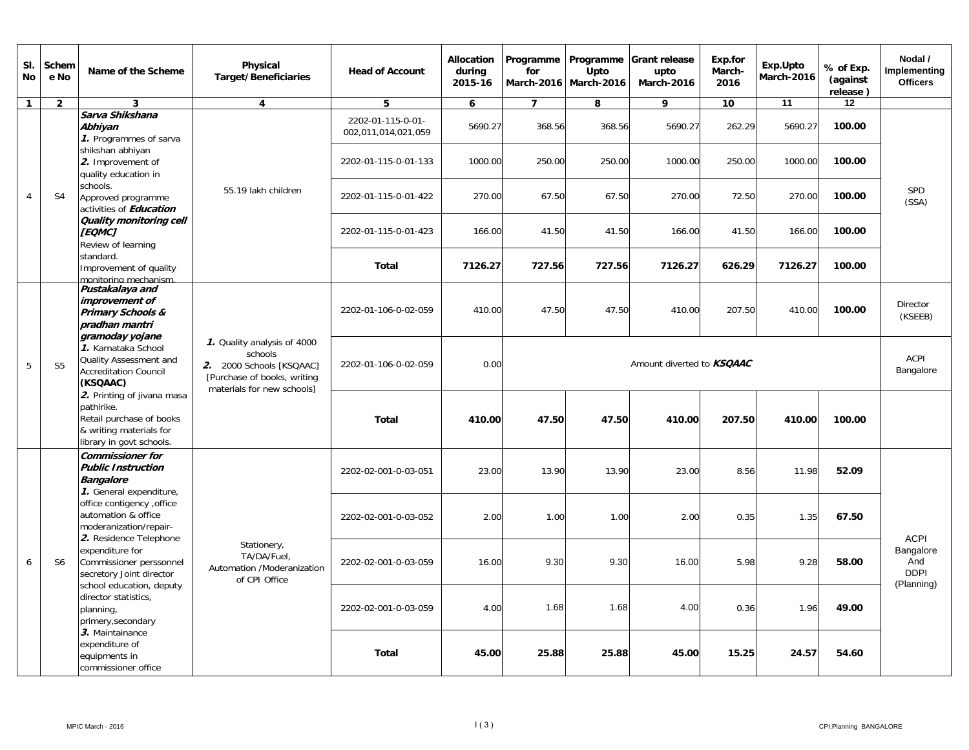| SI.<br><b>No</b> | Schem<br>e No                                                            | Name of the Scheme                                                                                                                                                                                                                                                                                                                                                                                 | Physical<br><b>Target/Beneficiaries</b>                                                                                         | <b>Head of Account</b>                   | <b>Allocation</b><br>during<br>2015-16 | Programme<br>for<br><b>March-2016</b> | Programme<br>Upto<br><b>March-2016</b> | <b>Grant release</b><br>upto<br>March-2016 | Exp.for<br>March-<br>2016 | Exp.Upto<br><b>March-2016</b> | % of Exp.<br>(against<br>release) | Nodal /<br>Implementing<br><b>Officers</b>    |       |  |
|------------------|--------------------------------------------------------------------------|----------------------------------------------------------------------------------------------------------------------------------------------------------------------------------------------------------------------------------------------------------------------------------------------------------------------------------------------------------------------------------------------------|---------------------------------------------------------------------------------------------------------------------------------|------------------------------------------|----------------------------------------|---------------------------------------|----------------------------------------|--------------------------------------------|---------------------------|-------------------------------|-----------------------------------|-----------------------------------------------|-------|--|
| $\mathbf{1}$     | $\overline{2}$                                                           | $\overline{3}$                                                                                                                                                                                                                                                                                                                                                                                     | $\overline{\mathbf{4}}$                                                                                                         | 5                                        | 6                                      | $\overline{7}$                        | 8                                      | 9                                          | 10 <sup>°</sup>           | 11                            | 12                                |                                               |       |  |
|                  |                                                                          | Sarva Shikshana<br>Abhiyan<br>1. Programmes of sarva                                                                                                                                                                                                                                                                                                                                               |                                                                                                                                 | 2202-01-115-0-01-<br>002,011,014,021,059 | 5690.27                                | 368.56                                | 368.56                                 | 5690.27                                    | 262.29                    | 5690.27                       | 100.00                            |                                               |       |  |
|                  |                                                                          | shikshan abhiyan<br>2. Improvement of<br>quality education in                                                                                                                                                                                                                                                                                                                                      |                                                                                                                                 | 2202-01-115-0-01-133                     | 1000.00                                | 250.00                                | 250.00                                 | 1000.00                                    | 250.00                    | 1000.00                       | 100.00                            |                                               |       |  |
| $\overline{4}$   | S <sub>4</sub>                                                           | schools.<br>Approved programme<br>activities of <b>Education</b>                                                                                                                                                                                                                                                                                                                                   | 55.19 lakh children                                                                                                             | 2202-01-115-0-01-422                     | 270.00                                 | 67.50                                 | 67.50                                  | 270.00                                     | 72.50                     | 270.00                        | 100.00                            | <b>SPD</b><br>(SSA)                           |       |  |
|                  |                                                                          | Quality monitoring cell<br><b>[EQMC]</b><br>Review of learning                                                                                                                                                                                                                                                                                                                                     |                                                                                                                                 | 2202-01-115-0-01-423                     | 166.00                                 | 41.50                                 | 41.50                                  | 166.00                                     | 41.50                     | 166.00                        | 100.00                            |                                               |       |  |
|                  |                                                                          | standard.<br>Improvement of quality<br>monitoring mechanism.                                                                                                                                                                                                                                                                                                                                       |                                                                                                                                 | <b>Total</b>                             | 7126.27                                | 727.56                                | 727.56                                 | 7126.27                                    | 626.29                    | 7126.27                       | 100.00                            |                                               |       |  |
|                  | Pustakalaya and<br>improvement of<br>Primary Schools &<br>pradhan mantri |                                                                                                                                                                                                                                                                                                                                                                                                    | 2202-01-106-0-02-059                                                                                                            | 410.00                                   | 47.50                                  | 47.50                                 | 410.00                                 | 207.50                                     | 410.00                    | 100.00                        | Director<br>(KSEEB)               |                                               |       |  |
| 5                | S <sub>5</sub>                                                           | gramoday yojane<br>1. Karnataka School<br>Quality Assessment and<br><b>Accreditation Council</b><br>(KSQAAC)                                                                                                                                                                                                                                                                                       | 1. Quality analysis of 4000<br>schools<br>2. 2000 Schools [KSQAAC]<br>[Purchase of books, writing<br>materials for new schools] | 2202-01-106-0-02-059                     | 0.00                                   |                                       | Amount diverted to <b>KSQAAC</b>       |                                            |                           |                               |                                   |                                               |       |  |
|                  |                                                                          | 2. Printing of jivana masa<br>pathirike.<br>Retail purchase of books<br>& writing materials for<br>library in govt schools.                                                                                                                                                                                                                                                                        |                                                                                                                                 | <b>Total</b>                             | 410.00                                 | 47.50                                 | 47.50                                  | 410.00                                     | 207.50                    | 410.00                        | 100.00                            |                                               |       |  |
|                  |                                                                          | <b>Commissioner for</b><br><b>Public Instruction</b><br><b>Bangalore</b><br>1. General expenditure,                                                                                                                                                                                                                                                                                                |                                                                                                                                 | 2202-02-001-0-03-051                     | 23.00                                  | 13.90                                 | 13.90                                  | 23.00                                      | 8.56                      | 11.98                         | 52.09                             |                                               |       |  |
|                  |                                                                          | office contigency , office<br>automation & office<br>moderanization/repair-<br>2. Residence Telephone<br>Stationery,<br>expenditure for<br>TA/DA/Fuel.<br>Commissioner perssonnel<br>secretory Joint director<br>of CPI Office<br>school education, deputy<br>director statistics,<br>planning,<br>primery, secondary<br>3. Maintainance<br>expenditure of<br>equipments in<br>commissioner office |                                                                                                                                 | 2202-02-001-0-03-052                     | 2.00                                   | 1.00                                  | 1.00                                   | 2.00                                       | 0.35                      | 1.35                          | 67.50                             | <b>ACPI</b>                                   |       |  |
| 6                | S6                                                                       |                                                                                                                                                                                                                                                                                                                                                                                                    | Automation /Moderanization                                                                                                      | 2202-02-001-0-03-059                     | 16.00                                  | 9.30                                  | 9.30                                   | 16.00                                      | 5.98                      | 9.28                          | 58.00                             | Bangalore<br>And<br><b>DDPI</b><br>(Planning) |       |  |
|                  |                                                                          |                                                                                                                                                                                                                                                                                                                                                                                                    |                                                                                                                                 |                                          |                                        | 2202-02-001-0-03-059                  | 4.00                                   | 1.68                                       | 1.68                      | 4.00                          | 0.36                              | 1.96                                          | 49.00 |  |
|                  |                                                                          |                                                                                                                                                                                                                                                                                                                                                                                                    |                                                                                                                                 | <b>Total</b>                             | 45.00                                  | 25.88                                 | 25.88                                  | 45.00                                      | 15.25                     | 24.57                         | 54.60                             |                                               |       |  |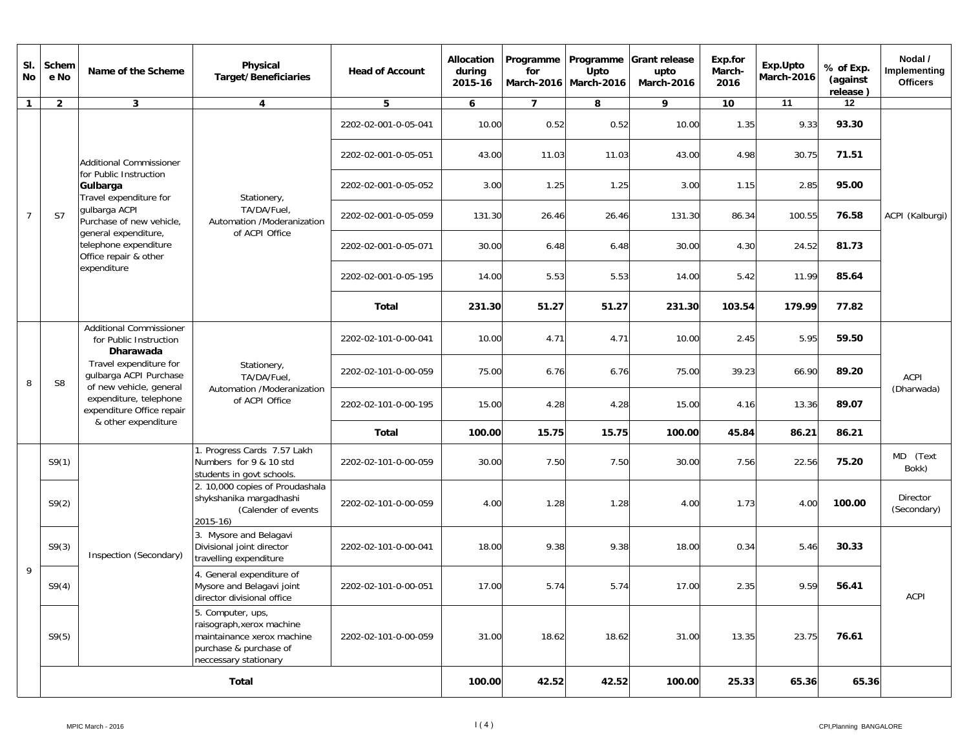| SI.<br><b>No</b> | Schem<br>e No  | Name of the Scheme                                                                                                                                                                                                                 | <b>Physical</b><br><b>Target/Beneficiaries</b>                                                                                  | <b>Head of Account</b>                                   | <b>Allocation</b><br>during<br>2015-16 | Programme<br>for | Programme<br>Upto<br>March-2016 March-2016 | Grant release<br>upto<br><b>March-2016</b> | Exp.for<br>March-<br>2016 | Exp.Upto<br>March-2016 | % of Exp.<br>(against<br>release) | Nodal /<br>Implementing<br><b>Officers</b> |             |
|------------------|----------------|------------------------------------------------------------------------------------------------------------------------------------------------------------------------------------------------------------------------------------|---------------------------------------------------------------------------------------------------------------------------------|----------------------------------------------------------|----------------------------------------|------------------|--------------------------------------------|--------------------------------------------|---------------------------|------------------------|-----------------------------------|--------------------------------------------|-------------|
| $\mathbf{1}$     | $\overline{2}$ | $\mathbf{3}$                                                                                                                                                                                                                       | 4                                                                                                                               | 5                                                        | 6                                      | $\overline{7}$   | 8                                          | 9                                          | 10                        | 11                     | 12                                |                                            |             |
|                  |                |                                                                                                                                                                                                                                    |                                                                                                                                 | 2202-02-001-0-05-041                                     | 10.00                                  | 0.52             | 0.52                                       | 10.00                                      | 1.35                      | 9.33                   | 93.30                             |                                            |             |
|                  |                | Additional Commissioner                                                                                                                                                                                                            |                                                                                                                                 | 2202-02-001-0-05-051                                     | 43.00                                  | 11.03            | 11.03                                      | 43.00                                      | 4.98                      | 30.75                  | 71.51                             |                                            |             |
|                  |                | for Public Instruction<br>Gulbarga<br>Travel expenditure for                                                                                                                                                                       | Stationery,                                                                                                                     | 2202-02-001-0-05-052                                     | 3.00                                   | 1.25             | 1.25                                       | 3.00                                       | 1.15                      | 2.85                   | 95.00                             |                                            |             |
| $\overline{7}$   | S7             | gulbarga ACPI<br>Purchase of new vehicle,<br>general expenditure,<br>telephone expenditure<br>Office repair & other                                                                                                                | TA/DA/Fuel,<br>Automation /Moderanization<br>of ACPI Office                                                                     | 2202-02-001-0-05-059                                     | 131.30                                 | 26.46            | 26.46                                      | 131.30                                     | 86.34                     | 100.55                 | 76.58                             | ACPI (Kalburgi)                            |             |
|                  |                |                                                                                                                                                                                                                                    |                                                                                                                                 | 2202-02-001-0-05-071                                     | 30.00                                  | 6.48             | 6.48                                       | 30.00                                      | 4.30                      | 24.52                  | 81.73                             |                                            |             |
|                  |                | expenditure                                                                                                                                                                                                                        |                                                                                                                                 | 2202-02-001-0-05-195                                     | 14.00                                  | 5.53             | 5.53                                       | 14.00                                      | 5.42                      | 11.99                  | 85.64                             |                                            |             |
|                  |                |                                                                                                                                                                                                                                    |                                                                                                                                 | Total                                                    | 231.30                                 | 51.27            | 51.27                                      | 231.30                                     | 103.54                    | 179.99                 | 77.82                             |                                            |             |
|                  |                | <b>Additional Commissioner</b><br>for Public Instruction<br>Dharawada<br>Travel expenditure for<br>gulbarga ACPI Purchase<br>of new vehicle, general<br>expenditure, telephone<br>expenditure Office repair<br>& other expenditure |                                                                                                                                 | 2202-02-101-0-00-041                                     | 10.00                                  | 4.71             | 4.71                                       | 10.00                                      | 2.45                      | 5.95                   | 59.50                             |                                            |             |
| 8                | S <sub>8</sub> |                                                                                                                                                                                                                                    |                                                                                                                                 | Stationery,<br>TA/DA/Fuel,<br>Automation /Moderanization | 2202-02-101-0-00-059                   | 75.00            | 6.76                                       | 6.76                                       | 75.00                     | 39.23                  | 66.90                             | 89.20                                      | <b>ACPI</b> |
|                  |                |                                                                                                                                                                                                                                    | of ACPI Office                                                                                                                  | 2202-02-101-0-00-195                                     | 15.00                                  | 4.28             | 4.28                                       | 15.00                                      | 4.16                      | 13.36                  | 89.07                             | (Dharwada)                                 |             |
|                  |                |                                                                                                                                                                                                                                    |                                                                                                                                 |                                                          | Total                                  | 100.00           | 15.75                                      | 15.75                                      | 100.00                    | 45.84                  | 86.21                             | 86.21                                      |             |
|                  | S9(1)          |                                                                                                                                                                                                                                    | 1. Progress Cards 7.57 Lakh<br>Numbers for 9 & 10 std<br>students in govt schools.                                              | 2202-02-101-0-00-059                                     | 30.00                                  | 7.50             | 7.50                                       | 30.00                                      | 7.56                      | 22.56                  | 75.20                             | MD (Text<br>Bokk)                          |             |
|                  | S9(2)          |                                                                                                                                                                                                                                    | 2. 10,000 copies of Proudashala<br>shykshanika margadhashi<br>(Calender of events<br>$2015 - 16$                                | 2202-02-101-0-00-059                                     | 4.00                                   | 1.28             | 1.28                                       | 4.00                                       | 1.73                      | 4.00                   | 100.00                            | <b>Director</b><br>(Secondary)             |             |
|                  | S9(3)          | Inspection (Secondary)                                                                                                                                                                                                             | 3. Mysore and Belagavi<br>Divisional joint director<br>travelling expenditure                                                   | 2202-02-101-0-00-041                                     | 18.00                                  | 9.38             | 9.38                                       | 18.00                                      | 0.34                      | 5.46                   | 30.33                             |                                            |             |
| 9                | S9(4)          |                                                                                                                                                                                                                                    | 4. General expenditure of<br>Mysore and Belagavi joint<br>director divisional office                                            | 2202-02-101-0-00-051                                     | 17.00                                  | 5.74             | 5.74                                       | 17.00                                      | 2.35                      | 9.59                   | 56.41                             | ACPI                                       |             |
|                  | S9(5)          |                                                                                                                                                                                                                                    | 5. Computer, ups,<br>raisograph, xerox machine<br>maintainance xerox machine<br>purchase & purchase of<br>neccessary stationary | 2202-02-101-0-00-059                                     | 31.00                                  | 18.62            | 18.62                                      | 31.00                                      | 13.35                     | 23.75                  | 76.61                             |                                            |             |
|                  | Total          |                                                                                                                                                                                                                                    |                                                                                                                                 |                                                          |                                        | 100.00<br>42.52  | 42.52                                      | 100.00                                     | 25.33                     | 65.36                  | 65.36                             |                                            |             |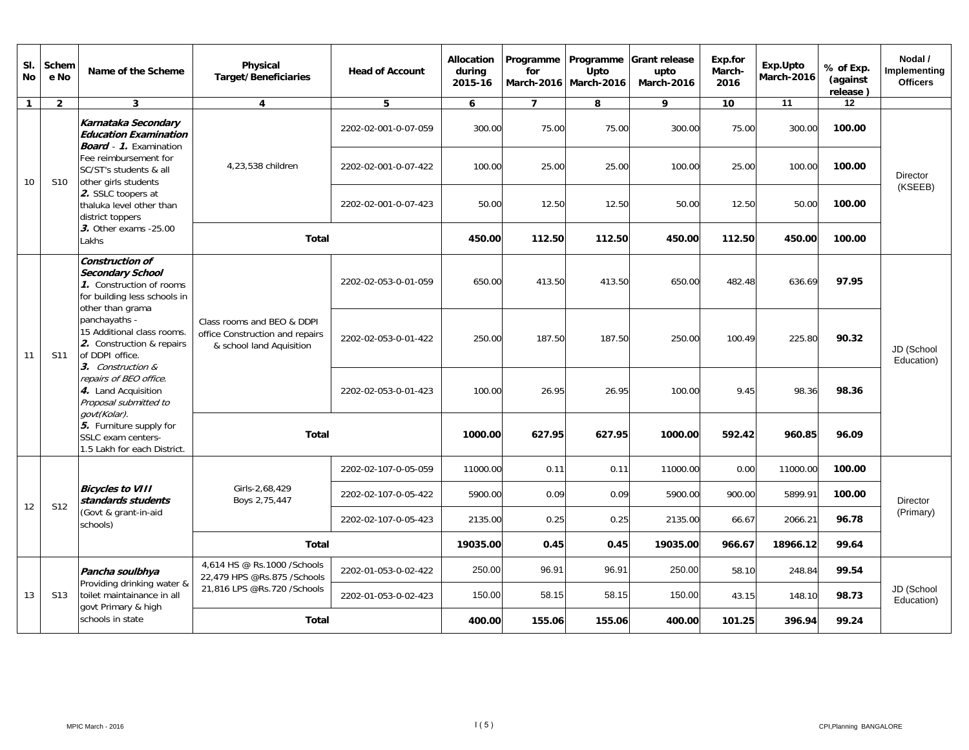| SI.<br><b>No</b> | Schem<br>e No   | Name of the Scheme                                                                                                                                                                                                                                                                                                       | Physical<br><b>Target/Beneficiaries</b>                     | <b>Head of Account</b>                                        | <b>Allocation</b><br>during<br>2015-16 | Programme<br>for<br>March-2016   March-2016 | Programme<br>Upto | <b>Grant release</b><br>upto<br><b>March-2016</b> | Exp.for<br>March-<br>2016 | Exp.Upto<br>March-2016 | % of Exp.<br>(against<br>release) | Nodal /<br>Implementing<br><b>Officers</b> |                          |                          |
|------------------|-----------------|--------------------------------------------------------------------------------------------------------------------------------------------------------------------------------------------------------------------------------------------------------------------------------------------------------------------------|-------------------------------------------------------------|---------------------------------------------------------------|----------------------------------------|---------------------------------------------|-------------------|---------------------------------------------------|---------------------------|------------------------|-----------------------------------|--------------------------------------------|--------------------------|--------------------------|
| $\mathbf{1}$     | $\overline{2}$  | $\mathbf{3}$                                                                                                                                                                                                                                                                                                             | $\overline{4}$                                              | 5                                                             | 6                                      | $\overline{7}$                              | 8                 | 9                                                 | 10                        | 11                     | 12                                |                                            |                          |                          |
|                  |                 | Karnataka Secondary<br><b>Education Examination</b><br><b>Board</b> - 1. Examination                                                                                                                                                                                                                                     |                                                             | 2202-02-001-0-07-059                                          | 300.00                                 | 75.00                                       | 75.00             | 300.00                                            | 75.00                     | 300.00                 | 100.00                            |                                            |                          |                          |
| 10               | S <sub>10</sub> | Fee reimbursement for<br>SC/ST's students & all<br>other girls students<br>2. SSLC toopers at<br>thaluka level other than<br>district toppers                                                                                                                                                                            | 4,23,538 children                                           | 2202-02-001-0-07-422                                          | 100.00                                 | 25.00                                       | 25.00             | 100.00                                            | 25.00                     | 100.00                 | 100.00                            | Director                                   |                          |                          |
|                  |                 |                                                                                                                                                                                                                                                                                                                          |                                                             | 2202-02-001-0-07-423                                          | 50.00                                  | 12.50                                       | 12.50             | 50.00                                             | 12.50                     | 50.00                  | 100.00                            | (KSEEB)                                    |                          |                          |
|                  |                 | 3. Other exams -25.00<br>Lakhs                                                                                                                                                                                                                                                                                           | <b>Total</b>                                                |                                                               | 450.00                                 | 112.50                                      | 112.50            | 450.00                                            | 112.50                    | 450.00                 | 100.00                            |                                            |                          |                          |
|                  |                 | Construction of<br><b>Secondary School</b><br>1. Construction of rooms<br>for building less schools in<br>other than grama<br>panchayaths -<br>15 Additional class rooms.<br>2. Construction & repairs<br>of DDPI office.<br>3. Construction &<br>repairs of BEO office.<br>4. Land Acquisition<br>Proposal submitted to |                                                             | 2202-02-053-0-01-059                                          | 650.00                                 | 413.50                                      | 413.50            | 650.00                                            | 482.48                    | 636.69                 | 97.95                             |                                            |                          |                          |
| 11               | S <sub>11</sub> |                                                                                                                                                                                                                                                                                                                          | & school land Aquisition                                    | Class rooms and BEO & DDPI<br>office Construction and repairs | 2202-02-053-0-01-422                   | 250.00                                      | 187.50            | 187.50                                            | 250.00                    | 100.49                 | 225.80                            | 90.32                                      | JD (School<br>Education) |                          |
|                  |                 |                                                                                                                                                                                                                                                                                                                          |                                                             | 2202-02-053-0-01-423                                          | 100.00                                 | 26.95                                       | 26.95             | 100.00                                            | 9.45                      | 98.36                  | 98.36                             |                                            |                          |                          |
|                  |                 | govt(Kolar).<br>5. Furniture supply for<br>SSLC exam centers-<br>1.5 Lakh for each District.                                                                                                                                                                                                                             | <b>Total</b>                                                |                                                               | 1000.00                                | 627.95                                      | 627.95            | 1000.00                                           | 592.42                    | 960.85                 | 96.09                             |                                            |                          |                          |
|                  |                 |                                                                                                                                                                                                                                                                                                                          |                                                             | 2202-02-107-0-05-059                                          | 11000.00                               | 0.11                                        | 0.11              | 11000.00                                          | 0.00                      | 11000.00               | 100.00                            |                                            |                          |                          |
| 12               | <b>S12</b>      | <b>Bicycles to VIII</b><br>standards students                                                                                                                                                                                                                                                                            | Girls-2,68,429<br>Boys 2,75,447                             | 2202-02-107-0-05-422                                          | 5900.00                                | 0.09                                        | 0.09              | 5900.00                                           | 900.00                    | 5899.91                | 100.00                            | <b>Director</b>                            |                          |                          |
|                  |                 | (Govt & grant-in-aid<br>schools)                                                                                                                                                                                                                                                                                         |                                                             | 2202-02-107-0-05-423                                          | 2135.00                                | 0.25                                        | 0.25              | 2135.00                                           | 66.67                     | 2066.21                | 96.78                             | (Primary)                                  |                          |                          |
|                  |                 |                                                                                                                                                                                                                                                                                                                          | <b>Total</b>                                                |                                                               | 19035.00                               | 0.45                                        | 0.45              | 19035.00                                          | 966.67                    | 18966.12               | 99.64                             |                                            |                          |                          |
|                  |                 | Pancha soulbhya                                                                                                                                                                                                                                                                                                          | 4.614 HS @ Rs.1000 / Schools<br>22,479 HPS @Rs.875 /Schools | 2202-01-053-0-02-422                                          | 250.00                                 | 96.91                                       | 96.91             | 250.00                                            | 58.10                     | 248.84                 | 99.54                             |                                            |                          |                          |
| 13               | S <sub>13</sub> | toilet maintainance in all                                                                                                                                                                                                                                                                                               | govt Primary & high<br>schools in state                     | Providing drinking water &                                    | 21,816 LPS @Rs.720 /Schools            | 2202-01-053-0-02-423                        | 150.00            | 58.15                                             | 58.15                     | 150.00                 | 43.15                             | 148.10                                     | 98.73                    | JD (School<br>Education) |
|                  |                 |                                                                                                                                                                                                                                                                                                                          |                                                             | <b>Total</b>                                                  |                                        | 400.00                                      | 155.06            | 155.06                                            | 400.00                    | 101.25                 | 396.94                            | 99.24                                      |                          |                          |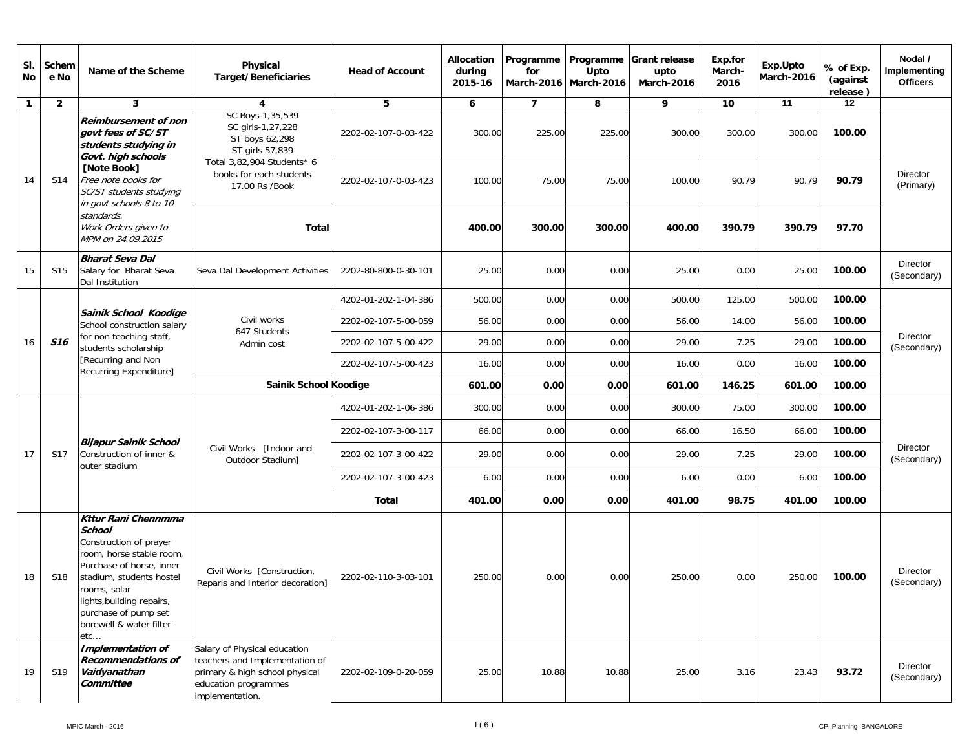| SI.<br>No    | Schem<br>e No   | Name of the Scheme                                                                                                                                                                                                                                               | Physical<br><b>Target/Beneficiaries</b>                                                                                                     | <b>Head of Account</b> | Allocation<br>during<br>2015-16 | Programme<br>for | Programme<br>Upto<br>March-2016   March-2016 | <b>Grant release</b><br>upto<br>March-2016                                                                                                                                                 | Exp.for<br>March-<br>2016 | Exp.Upto<br>March-2016 | % of Exp.<br>(against<br>release)                                                                                                                                                                                | Nodal /<br>Implementing<br><b>Officers</b> |
|--------------|-----------------|------------------------------------------------------------------------------------------------------------------------------------------------------------------------------------------------------------------------------------------------------------------|---------------------------------------------------------------------------------------------------------------------------------------------|------------------------|---------------------------------|------------------|----------------------------------------------|--------------------------------------------------------------------------------------------------------------------------------------------------------------------------------------------|---------------------------|------------------------|------------------------------------------------------------------------------------------------------------------------------------------------------------------------------------------------------------------|--------------------------------------------|
| $\mathbf{1}$ | $\overline{2}$  | 3                                                                                                                                                                                                                                                                | 4                                                                                                                                           | 5                      | 6                               | $\overline{7}$   | 8                                            | 9                                                                                                                                                                                          | 10                        | 11                     | 12                                                                                                                                                                                                               |                                            |
|              |                 | <b>Reimbursement of non</b><br>aovt fees of SC/ST<br>students studying in<br>Govt. high schools                                                                                                                                                                  | SC Boys-1,35,539<br>SC girls-1,27,228<br>ST boys 62,298<br>ST girls 57,839                                                                  | 2202-02-107-0-03-422   | 300.00                          | 225.00           | 225.00                                       | 300.00                                                                                                                                                                                     | 300.00                    | 300.00                 | 100.00                                                                                                                                                                                                           |                                            |
| 14           | S14             | [Note Book]<br>Free note books for<br>SC/ST students studying<br>in govt schools 8 to 10                                                                                                                                                                         | Total 3,82,904 Students* 6<br>books for each students<br>17.00 Rs /Book                                                                     | 2202-02-107-0-03-423   | 100.00                          | 75.00            | 75.00                                        | 100.00                                                                                                                                                                                     | 90.79                     | 90.79                  | 90.79                                                                                                                                                                                                            | <b>Director</b><br>(Primary)               |
|              |                 | standards.<br>Work Orders given to<br>MPM on 24.09.2015                                                                                                                                                                                                          | <b>Total</b>                                                                                                                                |                        | 400.00                          | 300.00           | 300.00                                       |                                                                                                                                                                                            |                           |                        | 97.70                                                                                                                                                                                                            |                                            |
| 15           | S <sub>15</sub> | <b>Bharat Seva Dal</b><br>Salary for Bharat Seva<br>Dal Institution                                                                                                                                                                                              | Seva Dal Development Activities                                                                                                             | 2202-80-800-0-30-101   | 25.00                           | 0.00             | 0.00                                         | 25.00                                                                                                                                                                                      |                           | 25.00                  | 100.00                                                                                                                                                                                                           | <b>Director</b><br>(Secondary)             |
|              |                 |                                                                                                                                                                                                                                                                  |                                                                                                                                             | 4202-01-202-1-04-386   | 500.00                          | 0.00             | 0.00                                         | 500.00                                                                                                                                                                                     |                           | 500.00                 | 100.00                                                                                                                                                                                                           |                                            |
| 16           |                 | Sainik School Koodige<br>School construction salary                                                                                                                                                                                                              | Civil works<br>647 Students                                                                                                                 | 2202-02-107-5-00-059   | 56.00                           | 0.00             | 0.00                                         | 56.00                                                                                                                                                                                      |                           | 56.00                  | 390.79<br>100.00<br>29.00<br>100.00<br>100.00<br>16.00<br>601.00<br>100.00<br>300.00<br>100.00<br>66.00<br>100.00<br>29.00<br>100.00<br>6.00<br>100.00<br>401.00<br>100.00<br>250.00<br>100.00<br>93.72<br>23.43 |                                            |
|              | <b>S16</b>      | for non teaching staff,<br>students scholarship                                                                                                                                                                                                                  | Admin cost                                                                                                                                  | 2202-02-107-5-00-422   | 29.00                           | 0.00             | 0.00                                         | 400.00<br>390.79<br>0.00<br>125.00<br>14.00<br>29.00<br>7.25<br>16.00<br>0.00<br>601.00<br>146.25<br>300.00<br>75.00<br>16.50<br>66.00<br>7.25<br>29.00<br>6.00<br>0.00<br>401.00<br>98.75 | Director<br>(Secondary)   |                        |                                                                                                                                                                                                                  |                                            |
|              |                 | [Recurring and Non<br>Recurring Expenditure]                                                                                                                                                                                                                     |                                                                                                                                             | 2202-02-107-5-00-423   | 16.00                           | 0.00             | 0.00                                         |                                                                                                                                                                                            |                           |                        |                                                                                                                                                                                                                  |                                            |
|              |                 |                                                                                                                                                                                                                                                                  | Sainik School Koodige                                                                                                                       |                        | 601.00                          | 0.00             | 0.00                                         |                                                                                                                                                                                            |                           |                        |                                                                                                                                                                                                                  |                                            |
|              |                 |                                                                                                                                                                                                                                                                  |                                                                                                                                             | 4202-01-202-1-06-386   | 300.00                          | 0.00             | 0.00                                         |                                                                                                                                                                                            |                           |                        |                                                                                                                                                                                                                  | Director<br>(Secondary)                    |
|              |                 |                                                                                                                                                                                                                                                                  |                                                                                                                                             | 2202-02-107-3-00-117   | 66.00                           | 0.00             | 0.00                                         |                                                                                                                                                                                            |                           |                        |                                                                                                                                                                                                                  |                                            |
| 17           | S17             | <b>Bijapur Sainik School</b><br>Construction of inner &<br>outer stadium                                                                                                                                                                                         | Civil Works [Indoor and<br>Outdoor Stadium]                                                                                                 | 2202-02-107-3-00-422   | 29.00                           | 0.00             | 0.00                                         |                                                                                                                                                                                            |                           |                        |                                                                                                                                                                                                                  |                                            |
|              |                 |                                                                                                                                                                                                                                                                  |                                                                                                                                             | 2202-02-107-3-00-423   | 6.00                            | 0.00             | 0.00                                         |                                                                                                                                                                                            |                           |                        |                                                                                                                                                                                                                  |                                            |
|              |                 |                                                                                                                                                                                                                                                                  |                                                                                                                                             | <b>Total</b>           | 401.00                          | 0.00             | 0.00                                         |                                                                                                                                                                                            |                           |                        |                                                                                                                                                                                                                  |                                            |
| 18           | S18             | <b>Kttur Rani Chennmma</b><br><b>School</b><br>Construction of prayer<br>room, horse stable room,<br>Purchase of horse, inner<br>stadium, students hostel<br>rooms, solar<br>lights, building repairs,<br>purchase of pump set<br>borewell & water filter<br>etc | Civil Works [Construction,<br>Reparis and Interior decoration]                                                                              | 2202-02-110-3-03-101   | 250.00                          | 0.00             | 0.00                                         | 250.00                                                                                                                                                                                     | 0.00                      |                        |                                                                                                                                                                                                                  | <b>Director</b><br>(Secondary)             |
| 19           | S19             | <b>Implementation of</b><br><b>Recommendations of</b><br>Vaidyanathan<br>Committee                                                                                                                                                                               | Salary of Physical education<br>teachers and Implementation of<br>primary & high school physical<br>education programmes<br>implementation. | 2202-02-109-0-20-059   | 25.00                           | 10.88            | 10.88                                        | 25.00                                                                                                                                                                                      | 3.16                      |                        |                                                                                                                                                                                                                  | Director<br>(Secondary)                    |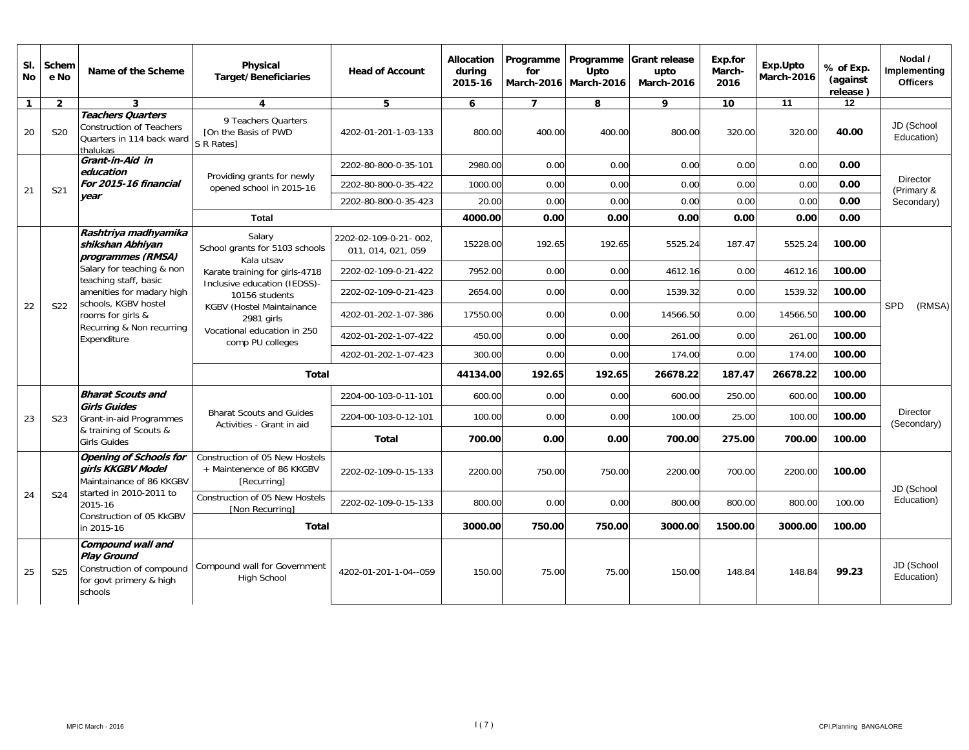| SI.<br>No      | Schem<br>e No                                                                                                                                                                                                                                                                                                                                                                                                                                                                                               | Name of the Scheme                                                                                        | Physical<br><b>Target/Beneficiaries</b>                                           | <b>Head of Account</b>                                       | Allocation<br>during<br>2015-16 | Programme<br>for | Programme<br>Upto<br>March-2016 March-2016 | <b>Grant release</b><br>upto<br><b>March-2016</b> | Exp.for<br>March-<br>2016 | Exp.Upto<br><b>March-2016</b> | % of Exp.<br>(against<br>release) | Nodal /<br>Implementing<br><b>Officers</b> |                         |
|----------------|-------------------------------------------------------------------------------------------------------------------------------------------------------------------------------------------------------------------------------------------------------------------------------------------------------------------------------------------------------------------------------------------------------------------------------------------------------------------------------------------------------------|-----------------------------------------------------------------------------------------------------------|-----------------------------------------------------------------------------------|--------------------------------------------------------------|---------------------------------|------------------|--------------------------------------------|---------------------------------------------------|---------------------------|-------------------------------|-----------------------------------|--------------------------------------------|-------------------------|
| $\overline{1}$ | $\overline{2}$                                                                                                                                                                                                                                                                                                                                                                                                                                                                                              | 3                                                                                                         | 4                                                                                 | 5                                                            | 6                               | $\overline{7}$   | 8                                          | 9                                                 | 10                        | 11                            | 12                                |                                            |                         |
| 20             | S20                                                                                                                                                                                                                                                                                                                                                                                                                                                                                                         | <b>Teachers Quarters</b><br><b>Construction of Teachers</b><br>Quarters in 114 back ward<br>thalukas      | 9 Teachers Quarters<br>[On the Basis of PWD<br>S R Rates]                         | 4202-01-201-1-03-133                                         | 800.00                          | 400.00           | 400.00                                     | 800.00                                            | 320.00                    | 320.00                        | 40.00                             | JD (School<br>Education)                   |                         |
|                |                                                                                                                                                                                                                                                                                                                                                                                                                                                                                                             | Grant-in-Aid in<br>education<br>For 2015-16 financial<br>year                                             |                                                                                   | 2202-80-800-0-35-101                                         | 2980.00                         | 0.00             | 0.00                                       | 0.00                                              | 0.00                      | 0.00                          | 0.00                              |                                            |                         |
| 21             | S21                                                                                                                                                                                                                                                                                                                                                                                                                                                                                                         |                                                                                                           | Providing grants for newly<br>opened school in 2015-16                            | 2202-80-800-0-35-422                                         | 1000.00                         | 0.00             | 0.00                                       | 0.00                                              | 0.00                      | 0.00                          | 0.00                              | Director<br>(Primary &                     |                         |
|                |                                                                                                                                                                                                                                                                                                                                                                                                                                                                                                             |                                                                                                           |                                                                                   | 2202-80-800-0-35-423                                         | 20.00                           | 0.00             | 0.00                                       | 0.00                                              | 0.00                      | 0.00                          | 0.00                              | Secondary)                                 |                         |
|                |                                                                                                                                                                                                                                                                                                                                                                                                                                                                                                             |                                                                                                           | Total                                                                             |                                                              | 4000.00                         | 0.00             | 0.00                                       | 0.00                                              | 0.00                      | 0.00                          | 0.00                              |                                            |                         |
|                |                                                                                                                                                                                                                                                                                                                                                                                                                                                                                                             | Rashtriya madhyamika<br>shikshan Abhiyan<br>programmes (RMSA)                                             | Salary<br>School grants for 5103 schools                                          | 2202-02-109-0-21-002.<br>011, 014, 021, 059                  |                                 | 192.65           | 192.65                                     | 5525.24                                           | 187.47                    | 5525.24                       | 100.00                            |                                            |                         |
|                | 15228.00<br>Kala utsav<br>Salary for teaching & non<br>Karate training for girls-4718<br>2202-02-109-0-21-422<br>7952.00<br>teaching staff, basic<br>Inclusive education (IEDSS)-<br>amenities for madary high<br>2654.00<br>2202-02-109-0-21-423<br>10156 students<br>schools, KGBV hostel<br>S22<br><b>KGBV (Hostel Maintainance</b><br>4202-01-202-1-07-386<br>17550.00<br>rooms for girls &<br>2981 girls<br>Recurring & Non recurring<br>Vocational education in 250<br>4202-01-202-1-07-422<br>450.00 | 0.00                                                                                                      | 0.00                                                                              | 4612.16                                                      | 0.00                            | 4612.16          | 100.00                                     |                                                   |                           |                               |                                   |                                            |                         |
|                |                                                                                                                                                                                                                                                                                                                                                                                                                                                                                                             |                                                                                                           |                                                                                   |                                                              |                                 | 0.00             | 0.00                                       | 1539.32                                           | 0.00                      | 1539.32                       | 100.00                            |                                            |                         |
| 22             |                                                                                                                                                                                                                                                                                                                                                                                                                                                                                                             |                                                                                                           |                                                                                   |                                                              |                                 | 0.00             | 0.00                                       | 14566.50                                          | 0.00                      | 14566.50                      | 100.00                            | <b>SPD</b><br>(RMSA)                       |                         |
|                |                                                                                                                                                                                                                                                                                                                                                                                                                                                                                                             | Expenditure                                                                                               | 0.00<br>comp PU colleges<br>4202-01-202-1-07-423<br>300.00<br>0.00                |                                                              |                                 | 0.00             | 261.00                                     | 0.00                                              | 261.00                    | 100.00                        |                                   |                                            |                         |
|                |                                                                                                                                                                                                                                                                                                                                                                                                                                                                                                             |                                                                                                           |                                                                                   | 0.00                                                         | 174.00                          | 0.00             | 174.00                                     | 100.00                                            |                           |                               |                                   |                                            |                         |
|                |                                                                                                                                                                                                                                                                                                                                                                                                                                                                                                             |                                                                                                           | <b>Total</b>                                                                      |                                                              | 44134.00                        | 192.65           | 192.65                                     | 26678.22                                          | 187.47                    | 26678.22                      | 100.00                            |                                            |                         |
|                |                                                                                                                                                                                                                                                                                                                                                                                                                                                                                                             | <b>Bharat Scouts and</b>                                                                                  |                                                                                   | 2204-00-103-0-11-101                                         | 600.00                          | 0.00             | 0.00                                       | 600.00                                            | 250.00                    | 600.00                        | 100.00                            |                                            |                         |
| 23             | S <sub>23</sub>                                                                                                                                                                                                                                                                                                                                                                                                                                                                                             | Grant-in-aid Programmes                                                                                   | <b>Girls Guides</b>                                                               | <b>Bharat Scouts and Guides</b><br>Activities - Grant in aid | 2204-00-103-0-12-101            | 100.00           | 0.00                                       | 0.00                                              | 100.00                    | 25.00                         | 100.00                            | 100.00                                     | Director<br>(Secondary) |
|                |                                                                                                                                                                                                                                                                                                                                                                                                                                                                                                             | & training of Scouts &<br><b>Girls Guides</b>                                                             |                                                                                   | <b>Total</b>                                                 | 700.00                          | 0.00             | 0.00                                       | 700.00                                            | 275.00                    | 700.00                        | 100.00                            |                                            |                         |
|                |                                                                                                                                                                                                                                                                                                                                                                                                                                                                                                             | <b>Opening of Schools for</b><br>girls KKGBV Model<br>Maintainance of 86 KKGBV                            | <b>Construction of 05 New Hostels</b><br>+ Maintenence of 86 KKGBV<br>[Recurring] | 2202-02-109-0-15-133                                         | 2200.00                         | 750.00           | 750.00                                     | 2200.00                                           | 700.00                    | 2200.00                       | 100.00                            | JD (School                                 |                         |
| 24             | S24                                                                                                                                                                                                                                                                                                                                                                                                                                                                                                         | started in 2010-2011 to<br>2015-16                                                                        | Construction of 05 New Hostels<br><b>Non Recurringl</b>                           | 2202-02-109-0-15-133                                         | 800.00                          | 0.00             | 0.00                                       | 800.00                                            | 800.00                    | 800.00                        | 100.00<br>100.00<br>99.23         | Education)                                 |                         |
|                |                                                                                                                                                                                                                                                                                                                                                                                                                                                                                                             | Construction of 05 KkGBV<br>in 2015-16                                                                    | <b>Total</b>                                                                      |                                                              | 3000.00                         | 750.00           | 750.00                                     | 3000.00                                           | 1500.00                   | 3000.00                       |                                   |                                            |                         |
| 25             | S <sub>25</sub>                                                                                                                                                                                                                                                                                                                                                                                                                                                                                             | Compound wall and<br><b>Play Ground</b><br>Construction of compound<br>for govt primery & high<br>schools | Compound wall for Government<br><b>High School</b>                                | 4202-01-201-1-04--059                                        | 150.00                          | 75.00            | 75.00                                      | 150.00                                            | 148.84                    | 148.84                        |                                   | JD (School<br>Education)                   |                         |